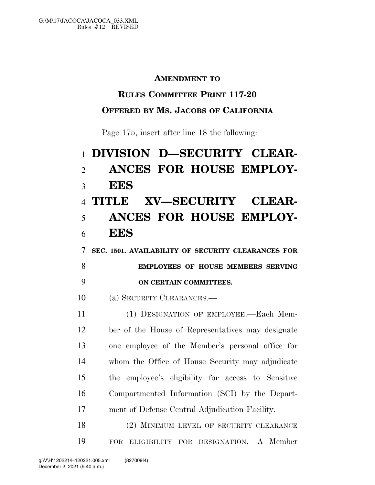#### **AMENDMENT TO**

## **RULES COMMITTEE PRINT 117-20**

## **OFFERED BY MS. JACOBS OF CALIFORNIA**

Page 175, insert after line 18 the following:

# **DIVISION D—SECURITY CLEAR- ANCES FOR HOUSE EMPLOY- EES TITLE XV—SECURITY CLEAR- ANCES FOR HOUSE EMPLOY- EES SEC. 1501. AVAILABILITY OF SECURITY CLEARANCES FOR EMPLOYEES OF HOUSE MEMBERS SERVING ON CERTAIN COMMITTEES.**  (a) SECURITY CLEARANCES.— (1) DESIGNATION OF EMPLOYEE.—Each Mem- ber of the House of Representatives may designate one employee of the Member's personal office for whom the Office of House Security may adjudicate the employee's eligibility for access to Sensitive Compartmented Information (SCI) by the Depart-ment of Defense Central Adjudication Facility.

18 (2) MINIMUM LEVEL OF SECURITY CLEARANCE FOR ELIGIBILITY FOR DESIGNATION.—A Member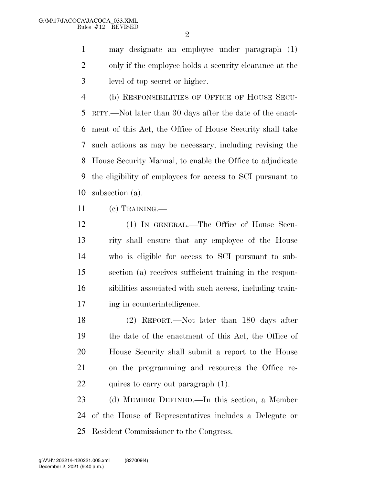$\mathfrak{D}$ 

 may designate an employee under paragraph (1) only if the employee holds a security clearance at the level of top secret or higher.

 (b) RESPONSIBILITIES OF OFFICE OF HOUSE SECU- RITY.—Not later than 30 days after the date of the enact- ment of this Act, the Office of House Security shall take such actions as may be necessary, including revising the House Security Manual, to enable the Office to adjudicate the eligibility of employees for access to SCI pursuant to subsection (a).

(c) TRAINING.—

 (1) IN GENERAL.—The Office of House Secu- rity shall ensure that any employee of the House who is eligible for access to SCI pursuant to sub- section (a) receives sufficient training in the respon- sibilities associated with such access, including train-17 ing in counterintelligence.

 (2) REPORT.—Not later than 180 days after the date of the enactment of this Act, the Office of House Security shall submit a report to the House on the programming and resources the Office re-22 quires to carry out paragraph (1).

 (d) MEMBER DEFINED.—In this section, a Member of the House of Representatives includes a Delegate or Resident Commissioner to the Congress.